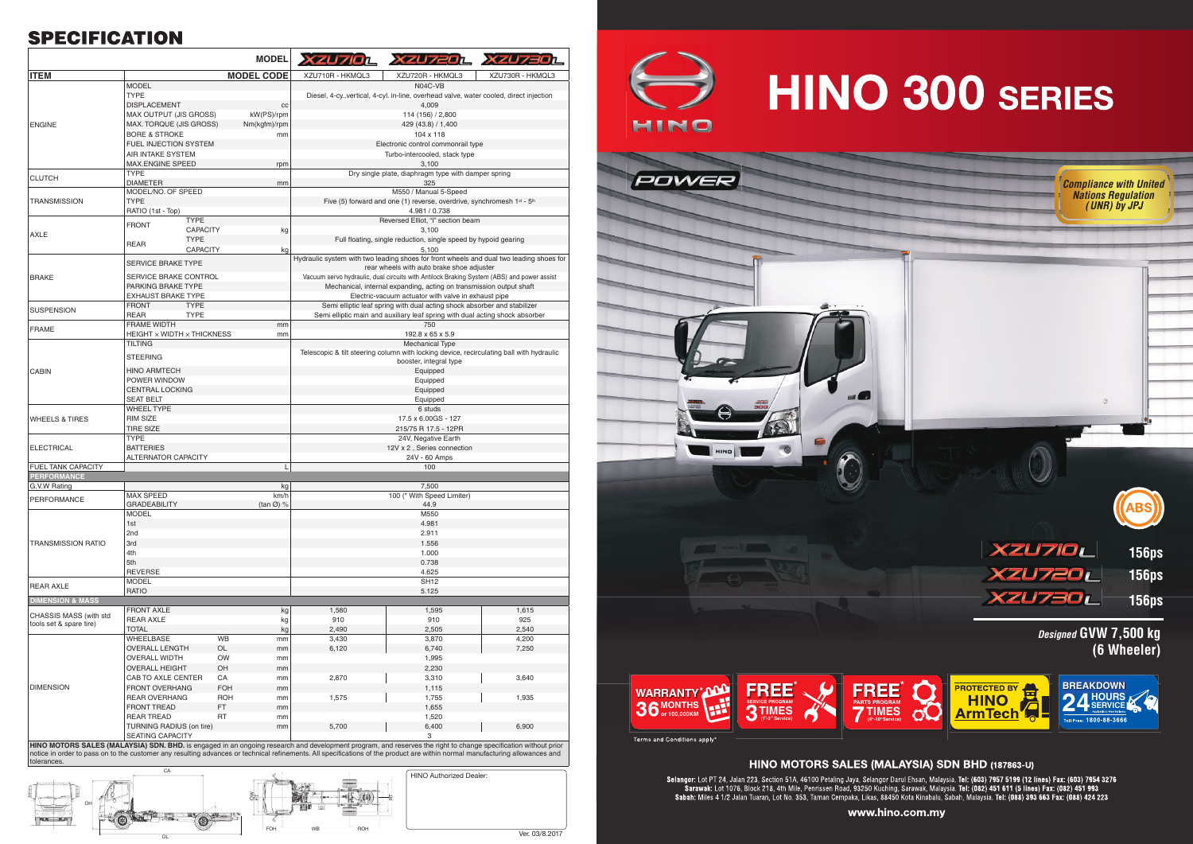# **SPECIFICATION**

|                                                   |                                              | <b>MODEL</b>         |                                                                                                                                                                | XZU710L XZU720L XZU730L                                                                  |                  |  |
|---------------------------------------------------|----------------------------------------------|----------------------|----------------------------------------------------------------------------------------------------------------------------------------------------------------|------------------------------------------------------------------------------------------|------------------|--|
| <b>ITEM</b>                                       |                                              | <b>MODEL CODE</b>    | XZU710R - HKMQL3                                                                                                                                               | XZU720R - HKMQL3                                                                         | XZU730R - HKMQL3 |  |
|                                                   | <b>MODEL</b>                                 |                      |                                                                                                                                                                | N04C-VB                                                                                  |                  |  |
|                                                   | <b>TYPE</b>                                  |                      | Diesel, 4-cy., vertical, 4-cyl. in-line, overhead valve, water cooled, direct injection                                                                        |                                                                                          |                  |  |
| <b>ENGINE</b>                                     | <b>DISPLACEMENT</b>                          | cc                   | 4,009                                                                                                                                                          |                                                                                          |                  |  |
|                                                   | MAX OUTPUT (JIS GROSS)                       | kW(PS)/rpm           | 114 (156) / 2,800                                                                                                                                              |                                                                                          |                  |  |
|                                                   | MAX. TORQUE (JIS GROSS)                      | Nm(kgfm)/rpm         | 429 (43.8) / 1,400                                                                                                                                             |                                                                                          |                  |  |
|                                                   | <b>BORE &amp; STROKE</b>                     | mm                   | 104 x 118                                                                                                                                                      |                                                                                          |                  |  |
|                                                   | FUEL INJECTION SYSTEM                        |                      | Electronic control commonrail type                                                                                                                             |                                                                                          |                  |  |
|                                                   | AIR INTAKE SYSTEM                            |                      | Turbo-intercooled, stack type                                                                                                                                  |                                                                                          |                  |  |
|                                                   | <b>MAX.ENGINE SPEED</b>                      | rpm                  | 3,100                                                                                                                                                          |                                                                                          |                  |  |
| <b>CLUTCH</b>                                     | <b>TYPE</b>                                  |                      | Dry single plate, diaphragm type with damper spring<br>325                                                                                                     |                                                                                          |                  |  |
| <b>TRANSMISSION</b>                               | <b>DIAMETER</b><br>MODEL/NO. OF SPEED        | mm                   | M550 / Manual 5-Speed                                                                                                                                          |                                                                                          |                  |  |
|                                                   | <b>TYPE</b>                                  |                      | Five (5) forward and one (1) reverse, overdrive, synchromesh 1st - 5th                                                                                         |                                                                                          |                  |  |
|                                                   | RATIO (1st - Top)                            |                      | 4.981 / 0.738                                                                                                                                                  |                                                                                          |                  |  |
| <b>AXLE</b>                                       | <b>TYPE</b>                                  |                      |                                                                                                                                                                | Reversed Elliot, "I" section beam                                                        |                  |  |
|                                                   | <b>FRONT</b><br><b>CAPACITY</b>              | kg                   |                                                                                                                                                                | 3,100                                                                                    |                  |  |
|                                                   | <b>TYPE</b>                                  |                      | Full floating, single reduction, single speed by hypoid gearing                                                                                                |                                                                                          |                  |  |
|                                                   | REAR<br><b>CAPACITY</b>                      | kg                   | 5,100                                                                                                                                                          |                                                                                          |                  |  |
|                                                   | SERVICE BRAKE TYPE                           |                      | Hydraulic system with two leading shoes for front wheels and dual two leading shoes for<br>rear wheels with auto brake shoe adjuster                           |                                                                                          |                  |  |
| <b>BRAKE</b>                                      | SERVICE BRAKE CONTROL                        |                      | Vacuum servo hydraulic, dual circuits with Antilock Braking System (ABS) and power assist                                                                      |                                                                                          |                  |  |
|                                                   | PARKING BRAKE TYPE                           |                      | Mechanical, internal expanding, acting on transmission output shaft                                                                                            |                                                                                          |                  |  |
|                                                   | <b>EXHAUST BRAKE TYPE</b>                    |                      | Electric-vacuum actuator with valve in exhaust pipe                                                                                                            |                                                                                          |                  |  |
| <b>SUSPENSION</b>                                 | <b>TYPE</b><br><b>FRONT</b>                  |                      | Semi elliptic leaf spring with dual acting shock absorber and stabilizer                                                                                       |                                                                                          |                  |  |
|                                                   | <b>REAR</b><br><b>TYPE</b>                   |                      |                                                                                                                                                                | Semi elliptic main and auxiliary leaf spring with dual acting shock absorber             |                  |  |
| <b>FRAME</b>                                      | <b>FRAME WIDTH</b>                           | mm                   |                                                                                                                                                                | 750                                                                                      |                  |  |
|                                                   | HEIGHT x WIDTH x THICKNESS<br><b>TILTING</b> | mm                   | 192.8 x 65 x 5.9<br><b>Mechanical Type</b>                                                                                                                     |                                                                                          |                  |  |
|                                                   |                                              |                      |                                                                                                                                                                | Telescopic & tilt steering column with locking device, recirculating ball with hydraulic |                  |  |
|                                                   | <b>STEERING</b>                              |                      | booster, integral type                                                                                                                                         |                                                                                          |                  |  |
| <b>CABIN</b>                                      | <b>HINO ARMTECH</b>                          |                      | Equipped                                                                                                                                                       |                                                                                          |                  |  |
|                                                   | POWER WINDOW                                 |                      | Equipped                                                                                                                                                       |                                                                                          |                  |  |
|                                                   | <b>CENTRAL LOCKING</b>                       |                      | Equipped                                                                                                                                                       |                                                                                          |                  |  |
|                                                   | <b>SEAT BELT</b>                             |                      | Equipped                                                                                                                                                       |                                                                                          |                  |  |
|                                                   | <b>WHEEL TYPE</b>                            |                      |                                                                                                                                                                | 6 studs                                                                                  |                  |  |
| <b>WHEELS &amp; TIRES</b>                         | <b>RIM SIZE</b>                              |                      | 17.5 x 6.00GS - 127                                                                                                                                            |                                                                                          |                  |  |
|                                                   | <b>TIRE SIZE</b>                             |                      | 215/75 R 17.5 - 12PR                                                                                                                                           |                                                                                          |                  |  |
| <b>ELECTRICAL</b>                                 | <b>TYPE</b>                                  |                      | 24V, Negative Earth                                                                                                                                            |                                                                                          |                  |  |
|                                                   | <b>BATTERIES</b>                             |                      | 12V x 2, Series connection                                                                                                                                     |                                                                                          |                  |  |
| <b>FUEL TANK CAPACITY</b>                         | <b>ALTERNATOR CAPACITY</b>                   | L                    | 24V - 60 Amps<br>100                                                                                                                                           |                                                                                          |                  |  |
| <b>PERFORMANCE</b>                                |                                              |                      |                                                                                                                                                                |                                                                                          |                  |  |
| G.V.W Rating                                      |                                              | kg                   |                                                                                                                                                                | 7,500                                                                                    |                  |  |
|                                                   | <b>MAX SPEED</b>                             | km/h                 | 100 (* With Speed Limiter)                                                                                                                                     |                                                                                          |                  |  |
| <b>PERFORMANCE</b>                                | <b>GRADEABILITY</b>                          | (tan $\emptyset$ ) % | 44.9                                                                                                                                                           |                                                                                          |                  |  |
|                                                   | <b>MODEL</b>                                 |                      |                                                                                                                                                                | M550                                                                                     |                  |  |
|                                                   | 1st                                          |                      | 4.981                                                                                                                                                          |                                                                                          |                  |  |
|                                                   | 2nd                                          |                      | 2.911                                                                                                                                                          |                                                                                          |                  |  |
| <b>TRANSMISSION RATIO</b>                         | 3rd                                          |                      |                                                                                                                                                                | 1.556                                                                                    |                  |  |
|                                                   | 4th                                          |                      |                                                                                                                                                                | 1.000                                                                                    |                  |  |
|                                                   | 5th                                          |                      |                                                                                                                                                                | 0.738                                                                                    |                  |  |
|                                                   | <b>REVERSE</b>                               |                      | 4.625<br><b>SH12</b>                                                                                                                                           |                                                                                          |                  |  |
| <b>REAR AXLE</b>                                  | <b>MODEL</b><br><b>RATIO</b>                 |                      |                                                                                                                                                                | 5.125                                                                                    |                  |  |
| <b>DIMENSION &amp; MASS</b>                       |                                              |                      |                                                                                                                                                                |                                                                                          |                  |  |
| CHASSIS MASS (with std<br>tools set & spare tire) | <b>FRONT AXLE</b>                            | kg                   | 1,580                                                                                                                                                          | 1,595                                                                                    | 1,615            |  |
|                                                   | <b>REAR AXLE</b>                             | kg                   | 910                                                                                                                                                            | 910                                                                                      | 925              |  |
|                                                   | <b>TOTAL</b>                                 | kg                   | 2,490                                                                                                                                                          | 2,505                                                                                    | 2,540            |  |
| <b>DIMENSION</b>                                  | WHEELBASE                                    | <b>WB</b><br>mm      | 3,430                                                                                                                                                          | 3,870                                                                                    | 4,200            |  |
|                                                   | <b>OVERALL LENGTH</b>                        | OL<br>mm             | 6,120                                                                                                                                                          | 6,740                                                                                    | 7,250            |  |
|                                                   | <b>OVERALL WIDTH</b>                         | <b>OW</b><br>mm      |                                                                                                                                                                | 1,995                                                                                    |                  |  |
|                                                   | <b>OVERALL HEIGHT</b>                        | OH<br>mm             |                                                                                                                                                                | 2,230                                                                                    |                  |  |
|                                                   | CAB TO AXLE CENTER                           | CA<br>mm             | 2,870                                                                                                                                                          | 3,310                                                                                    | 3,640            |  |
|                                                   | <b>FRONT OVERHANG</b>                        | <b>FOH</b><br>mm     |                                                                                                                                                                | 1,115                                                                                    |                  |  |
|                                                   | <b>REAR OVERHANG</b>                         | ROH<br>mm            | 1,575                                                                                                                                                          | 1,755                                                                                    | 1,935            |  |
|                                                   | <b>FRONT TREAD</b>                           | FT.<br>mm            |                                                                                                                                                                | 1,655                                                                                    |                  |  |
|                                                   | <b>REAR TREAD</b>                            | RT<br>mm             |                                                                                                                                                                | 1,520                                                                                    |                  |  |
|                                                   | TURNING RADIUS (on tire)                     | mm                   | 5,700                                                                                                                                                          | 6,400                                                                                    | 6,900            |  |
|                                                   | SEATING CAPACITY                             |                      |                                                                                                                                                                | 3                                                                                        |                  |  |
|                                                   |                                              |                      | HINO MOTORS SALES (MALAYSIA) SDN. BHD. is engaged in an ongoing research and development program, and reserves the right to change specification without prior |                                                                                          |                  |  |



notice in order to pass on to the customer any resulting advances or technical refinements. All specifications of the product are within normal manufacturing allowances and tolerances.



Terms and Conditions apply\*

### HINO MOTORS SALES (MALAYSIA) SDN BHD (187863-U)

Selangor: Lot PT 24, Jalan 223, Section 51A, 46100 Petaling Jaya, Selangor Darul Ehsan, Malaysia. Tel: (603) 7957 5199 (12 lines) Fax: (603) 7954 3276<br>Sarawak: Lot 1076, Block 218, 4th Mile, Penrissen Road, 93250 Kuching,

#### www.hino.com.my

HINO Authorized Dealer:

Ver. 03/8.2017

RT